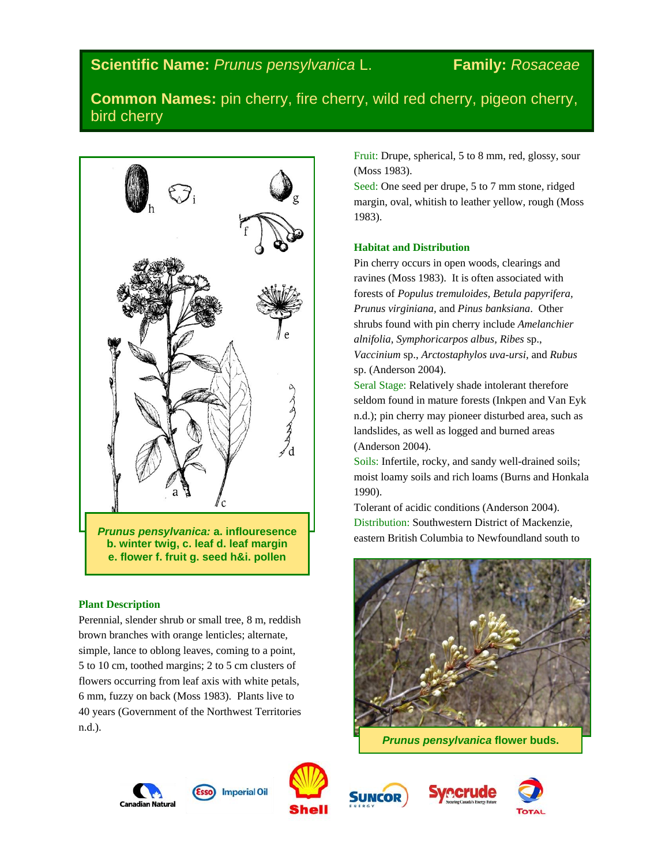# **Common Names:** pin cherry, fire cherry, wild red cherry, pigeon cherry, bird cherry



**b. winter twig, c. leaf d. leaf margin e. flower f. fruit g. seed h&i. pollen**

# **Plant Description**

Perennial, slender shrub or small tree, 8 m, reddish brown branches with orange lenticles; alternate, simple, lance to oblong leaves, coming to a point, 5 to 10 cm, toothed margins; 2 to 5 cm clusters of flowers occurring from leaf axis with white petals, 6 mm, fuzzy on back (Moss 1983). Plants live to 40 years (Government of the Northwest Territories n.d.).

Fruit: Drupe, spherical, 5 to 8 mm, red, glossy, sour (Moss 1983).

Seed: One seed per drupe, 5 to 7 mm stone, ridged margin, oval, whitish to leather yellow, rough (Moss 1983).

# **Habitat and Distribution**

Pin cherry occurs in open woods, clearings and ravines (Moss 1983). It is often associated with forests of *Populus tremuloides, Betula papyrifera, Prunus virginiana,* and *Pinus banksiana*. Other shrubs found with pin cherry include *Amelanchier alnifolia, Symphoricarpos albus, Ribes* sp., *Vaccinium* sp., *Arctostaphylos uva-ursi,* and *Rubus*  sp. (Anderson 2004).

Seral Stage: Relatively shade intolerant therefore seldom found in mature forests (Inkpen and Van Eyk n.d.); pin cherry may pioneer disturbed area, such as landslides, as well as logged and burned areas (Anderson 2004).

Soils: Infertile, rocky, and sandy well-drained soils; moist loamy soils and rich loams (Burns and Honkala 1990).

Tolerant of acidic conditions (Anderson 2004). Distribution: Southwestern District of Mackenzie, eastern British Columbia to Newfoundland south to



*Prunus pensylvanica* **flower buds.**







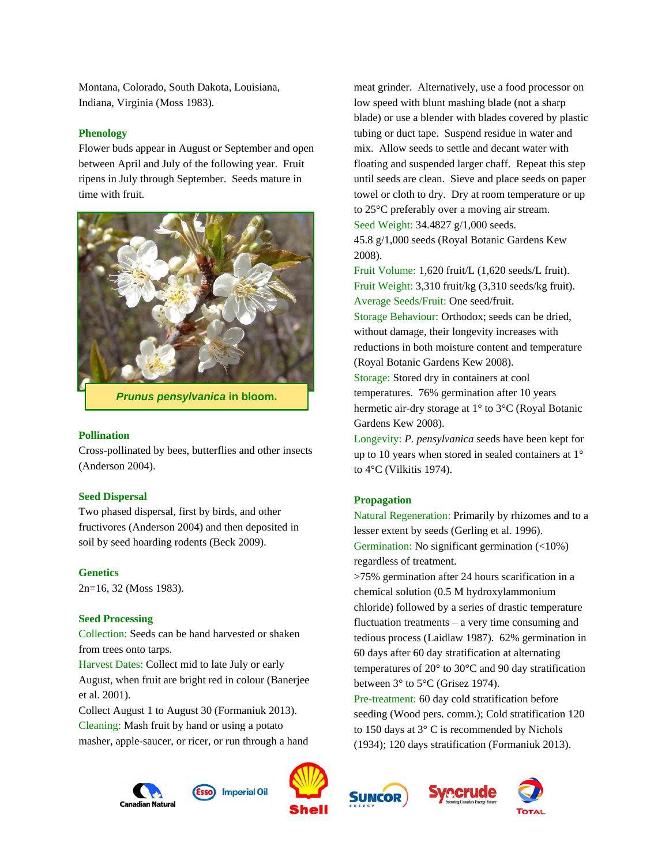Montana, Colorado, South Dakota, Louisiana, Indiana, Virginia (Moss 1983).

## **Phenology**

Flower buds appear in August or September and open between April and July of the following year. Fruit ripens in July through September. Seeds mature in time with fruit.



*Prunus pensylvanica* **in bloom.**

#### **Pollination**

Cross-pollinated by bees, butterflies and other insects (Anderson 2004).

#### **Seed Dispersal**

Two phased dispersal, first by birds, and other fructivores (Anderson 2004) and then deposited in soil by seed hoarding rodents (Beck 2009).

#### **Genetics**

2n=16, 32 (Moss 1983).

## **Seed Processing**

Collection: Seeds can be hand harvested or shaken from trees onto tarps.

Harvest Dates: Collect mid to late July or early August, when fruit are bright red in colour (Banerjee et al. 2001).

Collect August 1 to August 30 (Formaniuk 2013). Cleaning: Mash fruit by hand or using a potato masher, apple-saucer, or ricer, or run through a hand

meat grinder. Alternatively, use a food processor on low speed with blunt mashing blade (not a sharp blade) or use a blender with blades covered by plastic tubing or duct tape. Suspend residue in water and mix. Allow seeds to settle and decant water with floating and suspended larger chaff. Repeat this step until seeds are clean. Sieve and place seeds on paper towel or cloth to dry. Dry at room temperature or up to 25°C preferably over a moving air stream.

Seed Weight: 34.4827 g/1,000 seeds.

45.8 g/1,000 seeds (Royal Botanic Gardens Kew 2008).

Fruit Volume: 1,620 fruit/L (1,620 seeds/L fruit). Fruit Weight: 3,310 fruit/kg (3,310 seeds/kg fruit). Average Seeds/Fruit: One seed/fruit.

Storage Behaviour: Orthodox; seeds can be dried, without damage, their longevity increases with reductions in both moisture content and temperature (Royal Botanic Gardens Kew 2008).

Storage: Stored dry in containers at cool temperatures. 76% germination after 10 years hermetic air-dry storage at 1° to 3°C (Royal Botanic Gardens Kew 2008).

Longevity: *P. pensylvanica* seeds have been kept for up to 10 years when stored in sealed containers at 1° to 4°C (Vilkitis 1974).

### **Propagation**

Natural Regeneration: Primarily by rhizomes and to a lesser extent by seeds (Gerling et al. 1996). Germination: No significant germination (<10%) regardless of treatment.

>75% germination after 24 hours scarification in a chemical solution (0.5 M hydroxylammonium chloride) followed by a series of drastic temperature fluctuation treatments – a very time consuming and tedious process (Laidlaw 1987). 62% germination in 60 days after 60 day stratification at alternating temperatures of 20° to 30°C and 90 day stratification between 3° to 5°C (Grisez 1974).

Pre-treatment: 60 day cold stratification before seeding (Wood pers. comm.); Cold stratification 120 to 150 days at 3° C is recommended by Nichols (1934); 120 days stratification (Formaniuk 2013).







**Imperial Oil**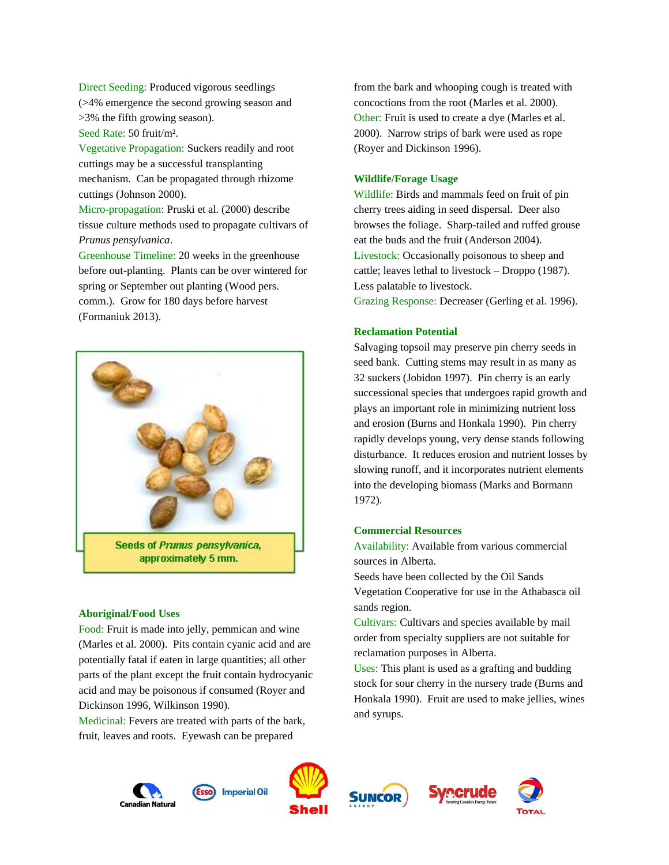Direct Seeding: Produced vigorous seedlings (>4% emergence the second growing season and >3% the fifth growing season).

Seed Rate: 50 fruit/m².

Vegetative Propagation: Suckers readily and root cuttings may be a successful transplanting mechanism. Can be propagated through rhizome cuttings (Johnson 2000). Micro-propagation: Pruski et al. (2000) describe tissue culture methods used to propagate cultivars of *Prunus pensylvanica*.

Greenhouse Timeline: 20 weeks in the greenhouse before out-planting. Plants can be over wintered for spring or September out planting (Wood pers. comm.). Grow for 180 days before harvest (Formaniuk 2013).



#### **Aboriginal/Food Uses**

Food: Fruit is made into jelly, pemmican and wine (Marles et al. 2000). Pits contain cyanic acid and are potentially fatal if eaten in large quantities; all other parts of the plant except the fruit contain hydrocyanic acid and may be poisonous if consumed (Royer and Dickinson 1996, Wilkinson 1990).

Medicinal: Fevers are treated with parts of the bark, fruit, leaves and roots. Eyewash can be prepared

from the bark and whooping cough is treated with concoctions from the root (Marles et al. 2000). Other: Fruit is used to create a dye (Marles et al. 2000). Narrow strips of bark were used as rope (Royer and Dickinson 1996).

# **Wildlife/Forage Usage**

Wildlife: Birds and mammals feed on fruit of pin cherry trees aiding in seed dispersal. Deer also browses the foliage. Sharp-tailed and ruffed grouse eat the buds and the fruit (Anderson 2004). Livestock: Occasionally poisonous to sheep and cattle; leaves lethal to livestock – Droppo (1987). Less palatable to livestock. Grazing Response: Decreaser (Gerling et al. 1996).

# **Reclamation Potential**

Salvaging topsoil may preserve pin cherry seeds in seed bank. Cutting stems may result in as many as 32 suckers (Jobidon 1997). Pin cherry is an early successional species that undergoes rapid growth and plays an important role in minimizing nutrient loss and erosion (Burns and Honkala 1990). Pin cherry rapidly develops young, very dense stands following disturbance. It reduces erosion and nutrient losses by slowing runoff, and it incorporates nutrient elements into the developing biomass (Marks and Bormann 1972).

## **Commercial Resources**

Availability: Available from various commercial sources in Alberta.

Seeds have been collected by the Oil Sands Vegetation Cooperative for use in the Athabasca oil sands region.

Cultivars: Cultivars and species available by mail order from specialty suppliers are not suitable for reclamation purposes in Alberta.

Uses: This plant is used as a grafting and budding stock for sour cherry in the nursery trade (Burns and Honkala 1990). Fruit are used to make jellies, wines and syrups.







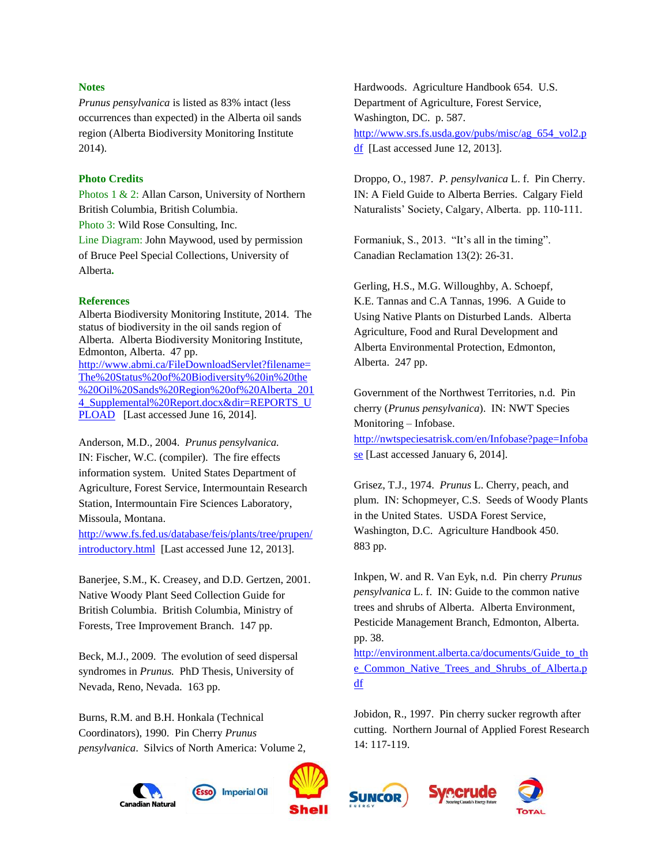## **Notes**

*Prunus pensylvanica* is listed as 83% intact (less occurrences than expected) in the Alberta oil sands region (Alberta Biodiversity Monitoring Institute 2014).

# **Photo Credits**

Photos 1 & 2: Allan Carson, University of Northern British Columbia, British Columbia.

Photo 3: Wild Rose Consulting, Inc.

Line Diagram: John Maywood, used by permission of Bruce Peel Special Collections, University of Alberta**.**

## **References**

Alberta Biodiversity Monitoring Institute, 2014. The status of biodiversity in the oil sands region of Alberta. Alberta Biodiversity Monitoring Institute, Edmonton, Alberta. 47 pp. [http://www.abmi.ca/FileDownloadServlet?filename=](http://www.abmi.ca/FileDownloadServlet?filename=The%20Status%20of%20Biodiversity%20in%20the%20Oil%20Sands%20Region%20of%20Alberta_2014_Supplemental%20Report.docx&dir=REPORTS_UPLOAD) [The%20Status%20of%20Biodiversity%20in%20the](http://www.abmi.ca/FileDownloadServlet?filename=The%20Status%20of%20Biodiversity%20in%20the%20Oil%20Sands%20Region%20of%20Alberta_2014_Supplemental%20Report.docx&dir=REPORTS_UPLOAD) [%20Oil%20Sands%20Region%20of%20Alberta\\_201](http://www.abmi.ca/FileDownloadServlet?filename=The%20Status%20of%20Biodiversity%20in%20the%20Oil%20Sands%20Region%20of%20Alberta_2014_Supplemental%20Report.docx&dir=REPORTS_UPLOAD) [4\\_Supplemental%20Report.docx&dir=REPORTS\\_U](http://www.abmi.ca/FileDownloadServlet?filename=The%20Status%20of%20Biodiversity%20in%20the%20Oil%20Sands%20Region%20of%20Alberta_2014_Supplemental%20Report.docx&dir=REPORTS_UPLOAD) [PLOAD](http://www.abmi.ca/FileDownloadServlet?filename=The%20Status%20of%20Biodiversity%20in%20the%20Oil%20Sands%20Region%20of%20Alberta_2014_Supplemental%20Report.docx&dir=REPORTS_UPLOAD) [Last accessed June 16, 2014].

Anderson, M.D., 2004. *Prunus pensylvanica.* IN: Fischer, W.C. (compiler). The fire effects information system. United States Department of Agriculture, Forest Service, Intermountain Research Station, Intermountain Fire Sciences Laboratory, Missoula, Montana.

[http://www.fs.fed.us/database/feis/plants/tree/prupen/](http://www.fs.fed.us/database/feis/plants/tree/prupen/introductory.html) [introductory.html](http://www.fs.fed.us/database/feis/plants/tree/prupen/introductory.html) [Last accessed June 12, 2013].

Banerjee, S.M., K. Creasey, and D.D. Gertzen, 2001. Native Woody Plant Seed Collection Guide for British Columbia. British Columbia, Ministry of Forests, Tree Improvement Branch. 147 pp.

Beck, M.J., 2009. The evolution of seed dispersal syndromes in *Prunus.* PhD Thesis, University of Nevada, Reno, Nevada. 163 pp.

Burns, R.M. and B.H. Honkala (Technical Coordinators), 1990. Pin Cherry *Prunus pensylvanica*. Silvics of North America: Volume 2,





Hardwoods. Agriculture Handbook 654. U.S. Department of Agriculture, Forest Service, Washington, DC. p. 587. [http://www.srs.fs.usda.gov/pubs/misc/ag\\_654\\_vol2.p](http://www.srs.fs.usda.gov/pubs/misc/ag_654_vol2.pdf)  $df$  [Last accessed June 12, 2013].

Droppo, O., 1987. *P. pensylvanica* L. f. Pin Cherry. IN: A Field Guide to Alberta Berries. Calgary Field Naturalists' Society, Calgary, Alberta. pp. 110-111.

Formaniuk, S., 2013. "It's all in the timing". Canadian Reclamation 13(2): 26-31.

Gerling, H.S., M.G. Willoughby, A. Schoepf, K.E. Tannas and C.A Tannas, 1996. A Guide to Using Native Plants on Disturbed Lands. Alberta Agriculture, Food and Rural Development and Alberta Environmental Protection, Edmonton, Alberta. 247 pp.

Government of the Northwest Territories, n.d. Pin cherry (*Prunus pensylvanica*). IN: NWT Species Monitoring – Infobase. [http://nwtspeciesatrisk.com/en/Infobase?page=Infoba](http://nwtspeciesatrisk.com/en/Infobase?page=Infobase)

[se](http://nwtspeciesatrisk.com/en/Infobase?page=Infobase) [Last accessed January 6, 2014].

Grisez, T.J., 1974. *Prunus* L. Cherry, peach, and plum. IN: Schopmeyer, C.S. Seeds of Woody Plants in the United States. USDA Forest Service, Washington, D.C. Agriculture Handbook 450. 883 pp.

Inkpen, W. and R. Van Eyk, n.d. Pin cherry *Prunus pensylvanica* L. f. IN: Guide to the common native trees and shrubs of Alberta. Alberta Environment, Pesticide Management Branch, Edmonton, Alberta. pp. 38.

[http://environment.alberta.ca/documents/Guide\\_to\\_th](http://environment.alberta.ca/documents/Guide_to_the_Common_Native_Trees_and_Shrubs_of_Alberta.pdf) e Common Native Trees and Shrubs of Alberta.p [df](http://environment.alberta.ca/documents/Guide_to_the_Common_Native_Trees_and_Shrubs_of_Alberta.pdf)

Jobidon, R., 1997. Pin cherry sucker regrowth after cutting. Northern Journal of Applied Forest Research 14: 117-119.

recrude